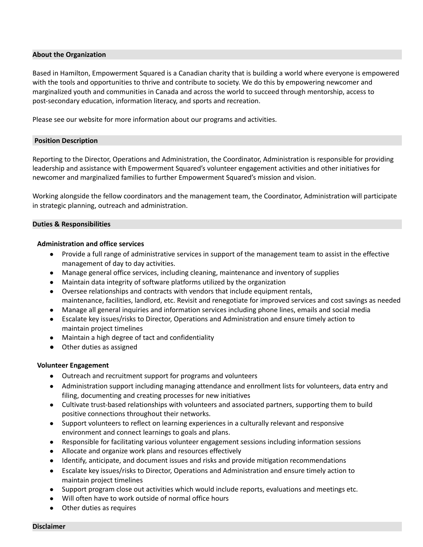### **About the Organization**

Based in Hamilton, Empowerment Squared is a Canadian charity that is building a world where everyone is empowered with the tools and opportunities to thrive and contribute to society. We do this by empowering newcomer and marginalized youth and communities in Canada and across the world to succeed through mentorship, access to post-secondary education, information literacy, and sports and recreation.

Please see our website for more information about our programs and activities.

#### **Position Description**

Reporting to the Director, Operations and Administration, the Coordinator, Administration is responsible for providing leadership and assistance with Empowerment Squared's volunteer engagement activities and other initiatives for newcomer and marginalized families to further Empowerment Squared's mission and vision.

Working alongside the fellow coordinators and the management team, the Coordinator, Administration will participate in strategic planning, outreach and administration.

### **Duties & Responsibilities**

### **Administration and office services**

- Provide a full range of administrative services in support of the management team to assist in the effective management of day to day activities.
- Manage general office services, including cleaning, maintenance and inventory of supplies
- Maintain data integrity of software platforms utilized by the organization
- Oversee relationships and contracts with vendors that include equipment rentals, maintenance, facilities, landlord, etc. Revisit and renegotiate for improved services and cost savings as needed
- Manage all general inquiries and information services including phone lines, emails and social media
- Escalate key issues/risks to Director, Operations and Administration and ensure timely action to maintain project timelines
- Maintain a high degree of tact and confidentiality
- **●** Other duties as assigned

## **Volunteer Engagement**

- Outreach and recruitment support for programs and volunteers
- Administration support including managing attendance and enrollment lists for volunteers, data entry and filing, documenting and creating processes for new initiatives
- Cultivate trust-based relationships with volunteers and associated partners, supporting them to build positive connections throughout their networks.
- Support volunteers to reflect on learning experiences in a culturally relevant and responsive environment and connect learnings to goals and plans.
- Responsible for facilitating various volunteer engagement sessions including information sessions
- Allocate and organize work plans and resources effectively
- Identify, anticipate, and document issues and risks and provide mitigation recommendations
- Escalate key issues/risks to Director, Operations and Administration and ensure timely action to maintain project timelines
- Support program close out activities which would include reports, evaluations and meetings etc.
- Will often have to work outside of normal office hours
- Other duties as requires